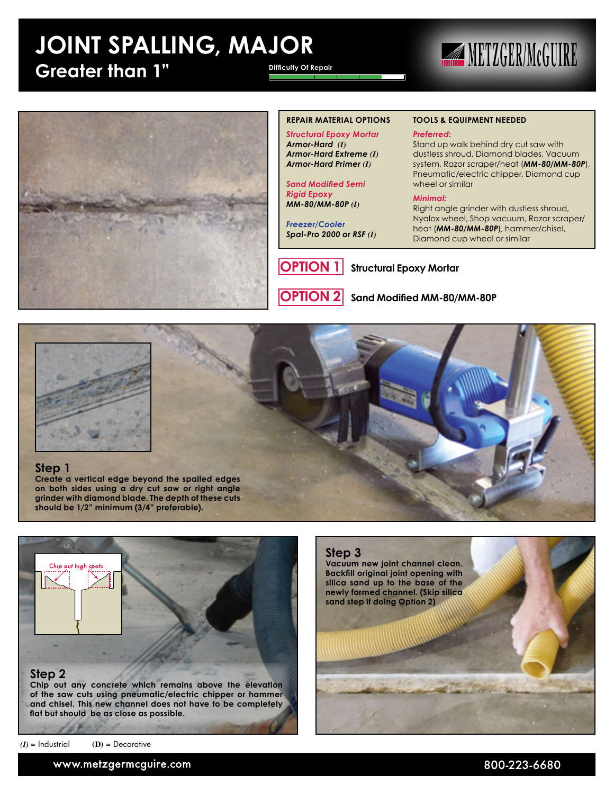### **JOINT SPALLING, MAJOR Greater than 1" Difficulty Of Repair**

## **METZGER/MCGUIRE**



#### **REPAIR MATERIAL OPTIONS**

*Structural Epoxy Mortar Armor-Hard (I) Armor-Hard Extreme (I) Armor-Hard Primer (I)*

*Sand Modified Semi Rigid Epoxy MM-80/MM-80P (I)*

*Freezer/Cooler Spal-Pro 2000 or RSF (I)*



**TOOLS & EQUIPMENT NEEDED**

#### *Preferred:*

Stand up walk behind dry cut saw with dustless shroud, Diamond blades, Vacuum system, Razor scraper/heat (*MM-80/MM-80P*), Pneumatic/electric chipper, Diamond cup wheel or similar

#### *Minimal:*

Right angle grinder with dustless shroud, Nyalox wheel, Shop vacuum, Razor scraper/ heat (*MM-80/MM-80P*), hammer/chisel, Diamond cup wheel or similar

**OPTION 1** Structural Epoxy Mortar

**OPTION 2 Sand Modified MM-80/MM-80P**



#### **Step 1**

**Create a vertical edge beyond the spalled edges on both sides using a dry cut saw or right angle grinder with diamond blade. The depth of these cuts should be 1/2" minimum (3/4" preferable).**



**and chisel. This new channel does not have to be completely flat but should be as close as possible.**

*(I)* = Industrial **(D)** = Decorative

**Step 3 Vacuum new joint channel clean. Backfill original joint opening with silica sand up to the base of the newly formed channel. (Skip silica sand step if doing Option 2)**

www.metzgermcguire.com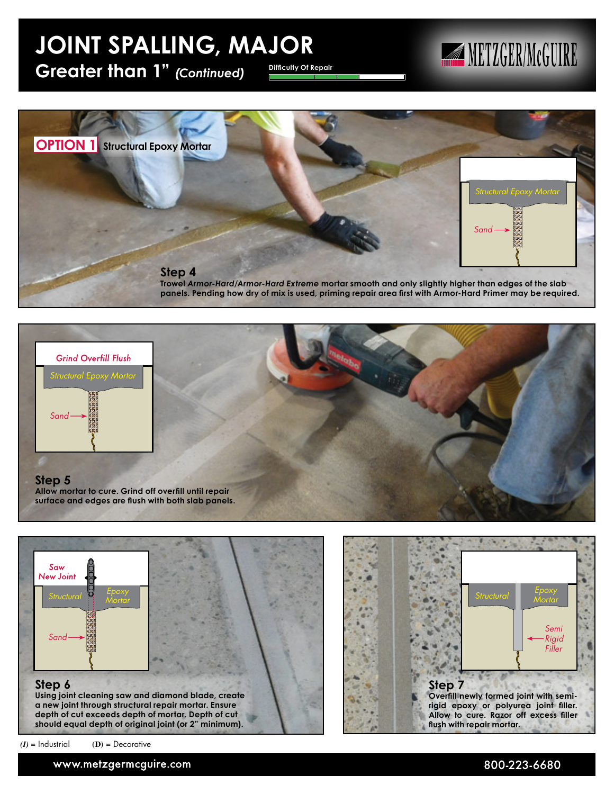### **JOINT SPALLING, MAJOR**

Greater than 1" *(Continued)* Difficulty Of Repair

## **METZGER/McGUIRE**



**Trowel** *Armor-Hard/Armor-Hard Extreme* **mortar smooth and only slightly higher than edges of the slab panels. Pending how dry of mix is used, priming repair area first with Armor-Hard Primer may be required.**





*Mortar Structural Semi Rigid Filler* **Step 7 Overfill newly formed joint with semirigid epoxy or polyurea joint filler. Allow to cure. Razor off excess filler flush with repair mortar.**

*(I)* = Industrial **(D)** = Decorative

www.metzgermcguire.com